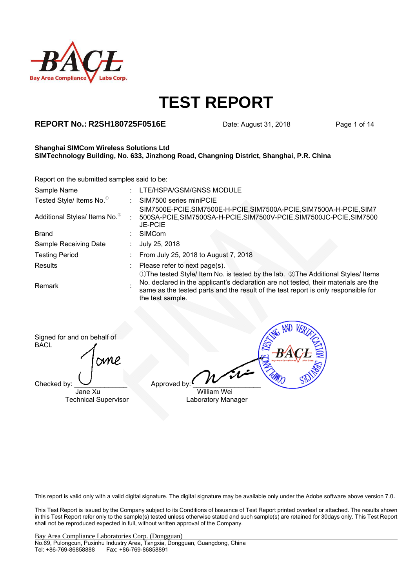

### **REPORT No.: R2SH180725F0516E** Date: August 31, 2018 Page 1 of 14

#### **Shanghai SIMCom Wireless Solutions Ltd SIMTechnology Building, No. 633, Jinzhong Road, Changning District, Shanghai, P.R. China**

Report on the submitted samples said to be:

| Sample Name                               | LTE/HSPA/GSM/GNSS MODULE                                                                                                                                                                                                                                                         |
|-------------------------------------------|----------------------------------------------------------------------------------------------------------------------------------------------------------------------------------------------------------------------------------------------------------------------------------|
| Tested Style/ Items No. <sup>®</sup>      | SIM7500 series miniPCIE                                                                                                                                                                                                                                                          |
| Additional Styles/ Items No. <sup>2</sup> | SIM7500E-PCIE, SIM7500E-H-PCIE, SIM7500A-PCIE, SIM7500A-H-PCIE, SIM7<br>500SA-PCIE,SIM7500SA-H-PCIE,SIM7500V-PCIE,SIM7500JC-PCIE,SIM7500<br><b>JE-PCIE</b>                                                                                                                       |
| <b>Brand</b>                              | <b>SIMCom</b>                                                                                                                                                                                                                                                                    |
| Sample Receiving Date                     | July 25, 2018                                                                                                                                                                                                                                                                    |
| <b>Testing Period</b>                     | From July 25, 2018 to August 7, 2018                                                                                                                                                                                                                                             |
| Results                                   | Please refer to next page(s).                                                                                                                                                                                                                                                    |
| <b>Remark</b>                             | ①The tested Style/ Item No. is tested by the lab. ②The Additional Styles/ Items<br>No. declared in the applicant's declaration are not tested, their materials are the<br>same as the tested parts and the result of the test report is only responsible for<br>the test sample. |

Signed for and on behalf of **BACL** 

mme

 $\Box$  Checked by:  $\Box$  Approved by

Jane Xu William Wei Technical Supervisor **Laboratory Manager** 

This report is valid only with a valid digital signature. The digital signature may be available only under the Adobe software above version 7.0.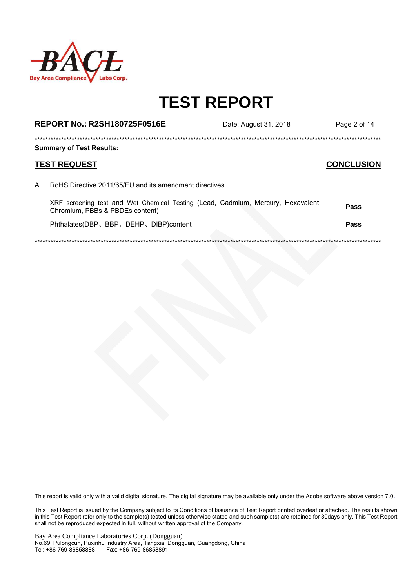

|   | <b>REPORT No.: R2SH180725F0516E</b>                                                                                | Date: August 31, 2018 | Page 2 of 14      |
|---|--------------------------------------------------------------------------------------------------------------------|-----------------------|-------------------|
|   | <b>Summary of Test Results:</b>                                                                                    |                       |                   |
|   | <b>TEST REQUEST</b>                                                                                                |                       | <b>CONCLUSION</b> |
| A | RoHS Directive 2011/65/FU and its amendment directives                                                             |                       |                   |
|   | XRF screening test and Wet Chemical Testing (Lead, Cadmium, Mercury, Hexavalent<br>Chromium, PBBs & PBDEs content) |                       | Pass              |
|   | Phthalates(DBP, BBP, DEHP, DIBP)content                                                                            |                       | Pass              |
|   |                                                                                                                    |                       |                   |

\*\*\*\*\*\*\*\*\*\*\*\*\*\*\*\*\*\*\*\*\*\*\*\*\*\*\*\*\*\*\*\*\*\*\*\*\*\*\*\*\*\*\*\*\*\*\*\*\*\*\*\*\*\*\*\*\*\*\*\*\*\*\*\*\*\*\*\*\*\*\*\*\*\*\*\*\*\*\*\*\*\*\*\*\*\*\*\*\*\*\*\*\*\*\*\*\*\*\*\*\*\*\*\*\*\*\*\*\*\*\*\*\*\*\*\*\*\*\*\*\*\*\*\*\*\*\*\*\*\*\*

This report is valid only with a valid digital signature. The digital signature may be available only under the Adobe software above version 7.0.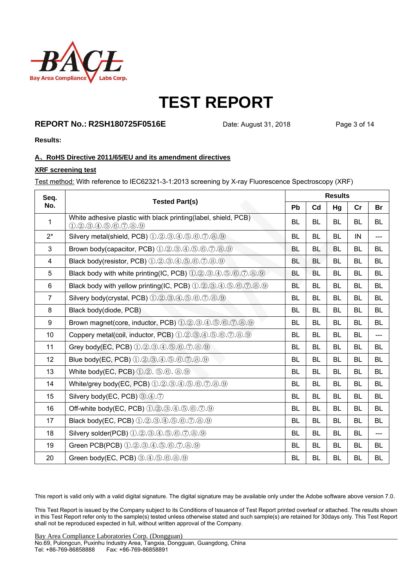

### **REPORT No.: R2SH180725F0516E** Date: August 31, 2018 Page 3 of 14

**Results:** 

#### **A**、**RoHS Directive 2011/65/EU and its amendment directives**

#### **XRF screening test**

Test method: With reference to IEC62321-3-1:2013 screening by X-ray Fluorescence Spectroscopy (XRF)

| Seq.           | <b>Tested Part(s)</b>                                                                   | <b>Results</b> |           |           |           |           |
|----------------|-----------------------------------------------------------------------------------------|----------------|-----------|-----------|-----------|-----------|
| No.            |                                                                                         | Pb             | Cd        | Hg        | cr        | <b>Br</b> |
| 1              | White adhesive plastic with black printing(label, shield, PCB)<br>$(1,2,3,4,5,6,7,8,9)$ | <b>BL</b>      | <b>BL</b> | <b>BL</b> | BL        | <b>BL</b> |
| $2^*$          | Silvery metal(shield, PCB) 1.2.3.4.5.6.7.8.9                                            | <b>BL</b>      | <b>BL</b> | <b>BL</b> | IN        | $---$     |
| $\mathfrak{S}$ | Brown body(capacitor, PCB) $(1.2.3.4.5.6.7.8.9)$                                        | BL             | <b>BL</b> | <b>BL</b> | BL        | <b>BL</b> |
| $\overline{4}$ | Black body(resistor, PCB) 1.2.3.4.5.6.7.8.9                                             | <b>BL</b>      | <b>BL</b> | <b>BL</b> | BL        | <b>BL</b> |
| 5              | Black body with white printing(IC, PCB) 1.2.3.4.5.6.7.8.9                               | <b>BL</b>      | <b>BL</b> | <b>BL</b> | <b>BL</b> | <b>BL</b> |
| $6\phantom{1}$ | Black body with yellow printing(IC, PCB) 1.2.3.4.5.6.7.8.9                              | <b>BL</b>      | <b>BL</b> | <b>BL</b> | <b>BL</b> | <b>BL</b> |
| $\overline{7}$ | Silvery body(crystal, PCB) 1.2.3.4.5.6.7.8.9                                            | BL             | <b>BL</b> | <b>BL</b> | BL        | <b>BL</b> |
| 8              | Black body(diode, PCB)                                                                  | <b>BL</b>      | <b>BL</b> | <b>BL</b> | <b>BL</b> | <b>BL</b> |
| 9              | Brown magnet(core, inductor, PCB) 1.2.3.4.5.6.7.0.9.9                                   | <b>BL</b>      | <b>BL</b> | <b>BL</b> | BL        | <b>BL</b> |
| 10             | Coppery metal(coil, inductor, PCB) 1.2.3.4.5.6.7.8.9                                    | <b>BL</b>      | <b>BL</b> | <b>BL</b> | <b>BL</b> | $---$     |
| 11             | Grey body(EC, PCB) 1.2.3.4.5.6.7.8.9                                                    | <b>BL</b>      | <b>BL</b> | <b>BL</b> | <b>BL</b> | <b>BL</b> |
| 12             | Blue body(EC, PCB) 1.2.3.4.5.6.7.8.9                                                    | BL             | <b>BL</b> | <b>BL</b> | BL        | <b>BL</b> |
| 13             | White body(EC, PCB) 1.2. 5.6. 8.9                                                       | <b>BL</b>      | <b>BL</b> | <b>BL</b> | BL        | <b>BL</b> |
| 14             | White/grey body(EC, PCB) 1.2.3.4.5.6.7.8.9                                              | <b>BL</b>      | <b>BL</b> | <b>BL</b> | <b>BL</b> | <b>BL</b> |
| 15             | Silvery body(EC, PCB) 3.4.7                                                             | <b>BL</b>      | <b>BL</b> | <b>BL</b> | <b>BL</b> | <b>BL</b> |
| 16             | Off-white body(EC, PCB) 1.2.3.4.5.6.7.9                                                 | <b>BL</b>      | <b>BL</b> | <b>BL</b> | BL        | <b>BL</b> |
| 17             | Black body(EC, PCB) 1.2.3.4.5.6.7.8.9                                                   | <b>BL</b>      | <b>BL</b> | <b>BL</b> | <b>BL</b> | <b>BL</b> |
| 18             | Silvery solder(PCB) 1.2.3.4.5.6.7.8.9                                                   | <b>BL</b>      | <b>BL</b> | <b>BL</b> | <b>BL</b> | $---$     |
| 19             | Green PCB(PCB) 1.2.3.4.5.6.7.8.9                                                        | <b>BL</b>      | <b>BL</b> | <b>BL</b> | <b>BL</b> | BL        |
| 20             | Green body(EC, PCB) 3.4.5.6.8.9                                                         | <b>BL</b>      | <b>BL</b> | <b>BL</b> | <b>BL</b> | <b>BL</b> |

This report is valid only with a valid digital signature. The digital signature may be available only under the Adobe software above version 7.0.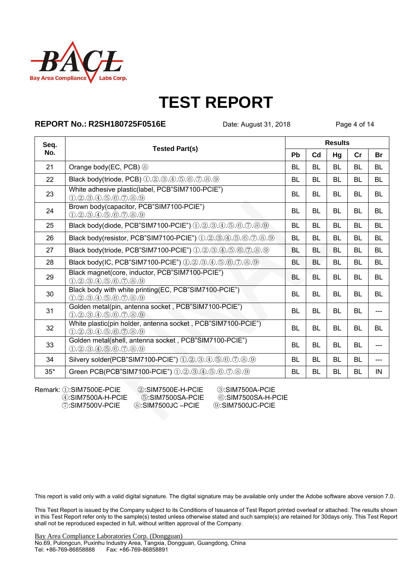

### **REPORT No.: R2SH180725F0516E** Date: August 31, 2018 Page 4 of 14

| Seq.  |                                                                                     | <b>Results</b> |                |           |           |           |
|-------|-------------------------------------------------------------------------------------|----------------|----------------|-----------|-----------|-----------|
| No.   | <b>Tested Part(s)</b>                                                               | Pb             | C <sub>d</sub> | Hg        | Cr        | <b>Br</b> |
| 21    | Orange body(EC, PCB) $\circledS$                                                    | <b>BL</b>      | <b>BL</b>      | <b>BL</b> | <b>BL</b> | <b>BL</b> |
| 22    | Black body(triode, PCB) 1.2.3.4.5.6.7.8.9                                           | <b>BL</b>      | <b>BL</b>      | BL        | <b>BL</b> | <b>BL</b> |
| 23    | White adhesive plastic(label, PCB"SIM7100-PCIE")<br>(1.2.3.4.5.6.7.8.9)             | BL.            | <b>BL</b>      | <b>BL</b> | <b>BL</b> | <b>BL</b> |
| 24    | Brown body(capacitor, PCB"SIM7100-PCIE")<br>(1.2.3.4.5.6.7.8.9)                     | <b>BL</b>      | <b>BL</b>      | <b>BI</b> | <b>BL</b> | <b>BI</b> |
| 25    | Black body(diode, PCB"SIM7100-PCIE") 1.2.3.4.5.6.7.8.9                              | BL             | <b>BL</b>      | <b>BL</b> | <b>BL</b> | <b>BL</b> |
| 26    | Black body(resistor, PCB"SIM7100-PCIE") 1.2.3.4.5.6.7.8.9                           | <b>BL</b>      | BL             | BL        | <b>BL</b> | <b>BL</b> |
| 27    | Black body(triode, PCB"SIM7100-PCIE") 1.2.3.4.5.6.7.8.9                             | <b>BL</b>      | <b>BL</b>      | <b>BL</b> | <b>BL</b> | <b>BL</b> |
| 28    | Black body(IC, PCB"SIM7100-PCIE") 1.2.3.4.5.6.7.8.9                                 | <b>BL</b>      | <b>BL</b>      | <b>BL</b> | <b>BL</b> | <b>BL</b> |
| 29    | Black magnet(core, inductor, PCB"SIM7100-PCIE")<br>(1.2.3.4.5.6.7.8.9)              | <b>BL</b>      | BL             | BL        | <b>BL</b> | <b>BL</b> |
| 30    | Black body with white printing(EC, PCB"SIM7100-PCIE")<br>$(1,2,3,4,5,6,7,8,9)$      | <b>BL</b>      | <b>BL</b>      | <b>BL</b> | BL        | <b>BL</b> |
| 31    | Golden metal(pin, antenna socket, PCB"SIM7100-PCIE")<br>(1.2.3.4.5.6.7.8.9)         | <b>BL</b>      | <b>BL</b>      | <b>BL</b> | <b>BL</b> |           |
| 32    | White plastic(pin holder, antenna socket, PCB"SIM7100-PCIE")<br>(1.2.3.4.5.6.7.8.9) | <b>BL</b>      | <b>BL</b>      | <b>BL</b> | <b>BL</b> | <b>BL</b> |
| 33    | Golden metal(shell, antenna socket, PCB"SIM7100-PCIE")<br>$(1,2,3,4,5,6,7,8,9)$     | <b>BL</b>      | BL             | <b>BL</b> | <b>BL</b> |           |
| 34    | Silvery solder(PCB"SIM7100-PCIE") 1.2.3.4.5.6.7.8.9                                 | <b>BL</b>      | <b>BL</b>      | <b>BL</b> | <b>BL</b> |           |
| $35*$ | Green PCB(PCB"SIM7100-PCIE") ①.2.3.4.5.6.7.8.9                                      | <b>BL</b>      | <b>BL</b>      | <b>BL</b> | <b>BL</b> | IN        |

Remark: ①:SIM7500E-PCIE ②:SIM7500E-H-PCIE ③:SIM7500A-PCIE ④:SIM7500A-H-PCIE ④:SIM7500SA-H-P

④:SIM7500A-H-PCIE ⑤:SIM7500SA-PCIE ⑥:SIM7500SA-H-PCIE ⑦:SIM7500V-PCIE ⑧:SIM7500JC –PCIE ⑨:SIM7500JC-PCIE

This report is valid only with a valid digital signature. The digital signature may be available only under the Adobe software above version 7.0.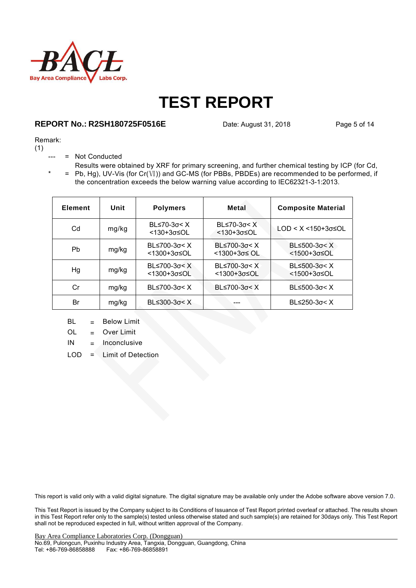

### **REPORT No.: R2SH180725F0516E** Date: August 31, 2018 Page 5 of 14

#### Remark:

(1)

- = Not Conducted
- $* = Pb, Hg$ , UV-Vis (for Cr(Ⅵ)) and GC-MS (for PBBs, PBDEs) are recommended to be performed, if Results were obtained by XRF for primary screening, and further chemical testing by ICP (for Cd, the concentration exceeds the below warning value according to IEC62321-3-1:2013.

| <b>Element</b> | Unit  | <b>Polymers</b>                | Metal                                                 | <b>Composite Material</b>                                     |
|----------------|-------|--------------------------------|-------------------------------------------------------|---------------------------------------------------------------|
| Cd             | mg/kg | $BL≤70-3σ < X$<br><130+3σ≤OL   | BL $\leq 70-3\sigma < X$<br>$< 130 + 3\sigma \leq 0L$ | $LOD < X < 150+3\sigma \leq OL$                               |
| Pb             | mg/kg | BL≤700-3σ< X<br><1300+3σ≤OL    | $B≤700-3σ < X$<br><1300+3σ≤ OL                        | BL $\leq$ 500-3 $\sigma$ < X<br><1500+3σ≤OL                   |
| Hg             | mg/kg | $BL≤700-3σ < X$<br><1300+3σ≤OL | BL $\leq$ 700-3 $\sigma$ < X<br><1300+3σ≤OL           | BL $\leq$ 500-3 $\sigma$ < X<br>$<$ 1500+3 $\sigma$ $\leq$ OL |
| Cr             | mg/kg | $BL≤700-3σ < X$                | BL≤700-3σ< X                                          | $BL≤500-3σ < X$                                               |
| Br             | mg/kg | $B≤300-3σ < X$                 |                                                       | BL $\leq$ 250-3 $\sigma$ < X                                  |

- BL = Below Limit
- OL = Over Limit
- $IN = Inconclusive$
- LOD = Limit of Detection

This report is valid only with a valid digital signature. The digital signature may be available only under the Adobe software above version 7.0.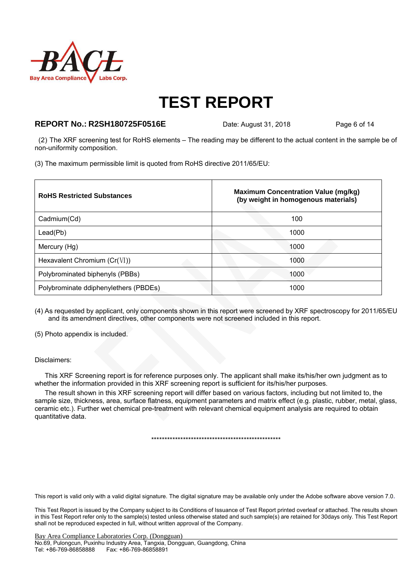

### **REPORT No.: R2SH180725F0516E** Date: August 31, 2018 Page 6 of 14

 (2) The XRF screening test for RoHS elements – The reading may be different to the actual content in the sample be of non-uniformity composition.

(3) The maximum permissible limit is quoted from RoHS directive 2011/65/EU:

| <b>RoHS Restricted Substances</b>     | <b>Maximum Concentration Value (mg/kg)</b><br>(by weight in homogenous materials) |
|---------------------------------------|-----------------------------------------------------------------------------------|
| Cadmium(Cd)                           | 100                                                                               |
| Lead(Pb)                              | 1000                                                                              |
| Mercury (Hg)                          | 1000                                                                              |
| Hexavalent Chromium $(Cr(VI))$        | 1000                                                                              |
| Polybrominated biphenyls (PBBs)       | 1000                                                                              |
| Polybrominate ddiphenylethers (PBDEs) | 1000                                                                              |

(4) As requested by applicant, only components shown in this report were screened by XRF spectroscopy for 2011/65/EU and its amendment directives, other components were not screened included in this report.

(5) Photo appendix is included.

#### Disclaimers:

This XRF Screening report is for reference purposes only. The applicant shall make its/his/her own judgment as to whether the information provided in this XRF screening report is sufficient for its/his/her purposes.

The result shown in this XRF screening report will differ based on various factors, including but not limited to, the sample size, thickness, area, surface flatness, equipment parameters and matrix effect (e.g. plastic, rubber, metal, glass, ceramic etc.). Further wet chemical pre-treatment with relevant chemical equipment analysis are required to obtain quantitative data.

\*\*\*\*\*\*\*\*\*\*\*\*\*\*\*\*\*\*\*\*\*\*\*\*\*\*\*\*\*\*\*\*\*\*\*\*\*\*\*\*\*\*\*\*\*\*\*\*\*

This report is valid only with a valid digital signature. The digital signature may be available only under the Adobe software above version 7.0.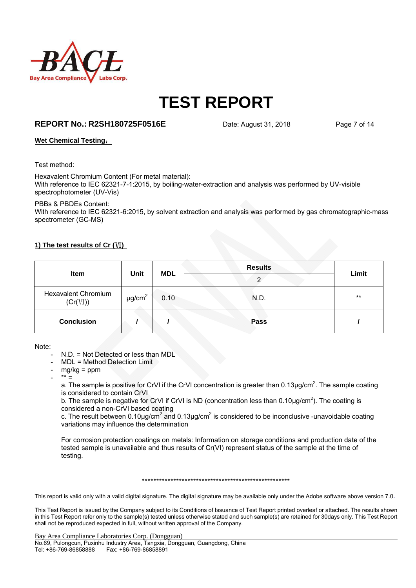

### **REPORT No.: R2SH180725F0516E** Date: August 31, 2018 Page 7 of 14

#### **Wet Chemical Testing**:

Test method:

Hexavalent Chromium Content (For metal material): With reference to IEC 62321-7-1:2015, by boiling-water-extraction and analysis was performed by UV-visible spectrophotometer (UV-Vis)

PBBs & PBDEs Content:

With reference to IEC 62321-6:2015, by solvent extraction and analysis was performed by gas chromatographic-mass spectrometer (GC-MS)

#### **1) The test results of Cr (**Ⅵ**)**

| Item                                   | Unit                    | <b>MDL</b> | <b>Results</b><br>◠ | Limit |
|----------------------------------------|-------------------------|------------|---------------------|-------|
| <b>Hexavalent Chromium</b><br>(Cr(VI)) | $\mu$ g/cm <sup>2</sup> | 0.10       | N.D.                | $***$ |
| <b>Conclusion</b>                      |                         |            | <b>Pass</b>         |       |

Note:

- N.D. = Not Detected or less than MDL
- MDL = Method Detection Limit
- $mg/kg = ppm$
- \*\* =

a. The sample is positive for CrVI if the CrVI concentration is greater than 0.13 $\mu$ g/cm<sup>2</sup>. The sample coating is considered to contain CrVI

b. The sample is negative for CrVI if CrVI is ND (concentration less than  $0.10 \mu g/cm^2$ ). The coating is considered a non-CrVI based coating

c. The result between 0.10µg/cm<sup>2</sup> and 0.13µg/cm<sup>2</sup> is considered to be inconclusive -unavoidable coating variations may influence the determination

For corrosion protection coatings on metals: Information on storage conditions and production date of the tested sample is unavailable and thus results of Cr(VI) represent status of the sample at the time of testing.

\*\*\*\*\*\*\*\*\*\*\*\*\*\*\*\*\*\*\*\*\*\*\*\*\*\*\*\*\*\*\*\*\*\*\*\*\*\*\*\*\*\*\*\*\*\*\*\*\*\*\*\*

This report is valid only with a valid digital signature. The digital signature may be available only under the Adobe software above version 7.0.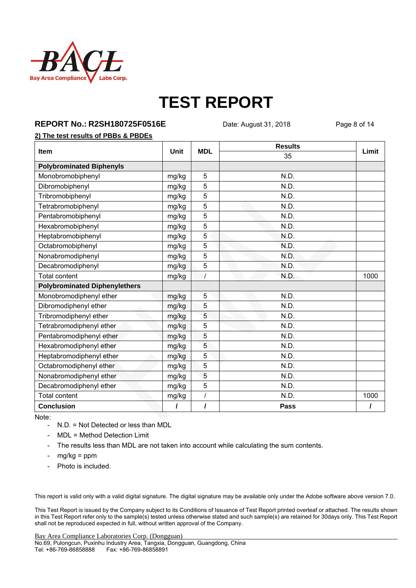

**REPORT No.: R2SH180725F0516E** Date: August 31, 2018 Page 8 of 14

### **2) The test results of PBBs & PBDEs**

|                                      |             | <b>MDL</b> | <b>Results</b> |       |  |
|--------------------------------------|-------------|------------|----------------|-------|--|
| Item                                 | <b>Unit</b> |            | 35             | Limit |  |
| <b>Polybrominated Biphenyls</b>      |             |            |                |       |  |
| Monobromobiphenyl                    | mg/kg       | 5          | N.D.           |       |  |
| Dibromobiphenyl                      | mg/kg       | 5          | N.D.           |       |  |
| Tribromobiphenyl                     | mg/kg       | 5          | N.D.           |       |  |
| Tetrabromobiphenyl                   | mg/kg       | 5          | N.D.           |       |  |
| Pentabromobiphenyl                   | mg/kg       | 5          | N.D.           |       |  |
| Hexabromobiphenyl                    | mg/kg       | 5          | N.D.           |       |  |
| Heptabromobiphenyl                   | mg/kg       | 5          | N.D.           |       |  |
| Octabromobiphenyl                    | mg/kg       | 5          | N.D.           |       |  |
| Nonabromodiphenyl                    | mg/kg       | 5          | N.D.           |       |  |
| Decabromodiphenyl                    | mg/kg       | 5          | N.D.           |       |  |
| <b>Total content</b>                 | mg/kg       | $\cal I$   | N.D.           | 1000  |  |
| <b>Polybrominated Diphenylethers</b> |             |            |                |       |  |
| Monobromodiphenyl ether              | mg/kg       | 5          | N.D.           |       |  |
| Dibromodiphenyl ether                | mg/kg       | 5          | N.D.           |       |  |
| Tribromodiphenyl ether               | mg/kg       | 5          | N.D.           |       |  |
| Tetrabromodiphenyl ether             | mg/kg       | 5          | N.D.           |       |  |
| Pentabromodiphenyl ether             | mg/kg       | 5          | N.D.           |       |  |
| Hexabromodiphenyl ether              | mg/kg       | 5          | N.D.           |       |  |
| Heptabromodiphenyl ether             | mg/kg       | 5          | N.D.           |       |  |
| Octabromodiphenyl ether              | mg/kg       | 5          | N.D.           |       |  |
| Nonabromodiphenyl ether              | mg/kg       | 5          | N.D.           |       |  |
| Decabromodiphenyl ether              | mg/kg       | 5          | N.D.           |       |  |
| <b>Total content</b>                 | mg/kg       | $\prime$   | N.D.           | 1000  |  |
| <b>Conclusion</b>                    | $\prime$    | I          | Pass           |       |  |

Note:

- N.D. = Not Detected or less than MDL
- MDL = Method Detection Limit
- The results less than MDL are not taken into account while calculating the sum contents.
- $mg/kg = ppm$
- Photo is included.

This report is valid only with a valid digital signature. The digital signature may be available only under the Adobe software above version 7.0.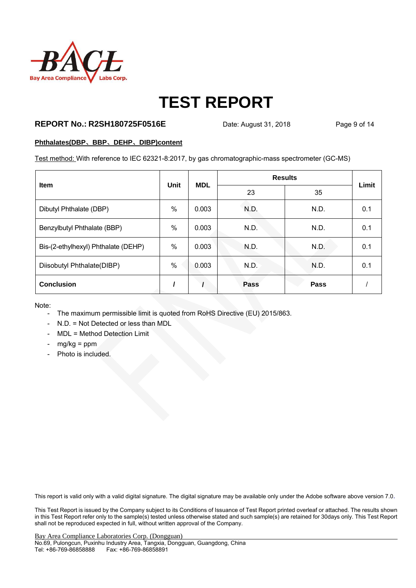

### **REPORT No.: R2SH180725F0516E** Date: August 31, 2018 Page 9 of 14

#### **Phthalates(DBP**、**BBP**、**DEHP**、**DIBP)content**

Test method: With reference to IEC 62321-8:2017, by gas chromatographic-mass spectrometer (GC-MS)

| <b>Item</b>                         | <b>Unit</b> | <b>MDL</b> | <b>Results</b> | Limit       |     |
|-------------------------------------|-------------|------------|----------------|-------------|-----|
|                                     |             |            | 23             | 35          |     |
| Dibutyl Phthalate (DBP)             | %           | 0.003      | N.D.           | N.D.        | 0.1 |
| Benzylbutyl Phthalate (BBP)         | %           | 0.003      | N.D.           | N.D.        | 0.1 |
| Bis-(2-ethylhexyl) Phthalate (DEHP) | $\%$        | 0.003      | N.D.           | N.D.        | 0.1 |
| Diisobutyl Phthalate(DIBP)          | $\%$        | 0.003      | N.D.           | N.D.        | 0.1 |
| <b>Conclusion</b>                   |             |            | Pass           | <b>Pass</b> |     |

Note:

- The maximum permissible limit is quoted from RoHS Directive (EU) 2015/863.
- N.D. = Not Detected or less than MDL
- MDL = Method Detection Limit
- $mg/kg = ppm$
- Photo is included.

This report is valid only with a valid digital signature. The digital signature may be available only under the Adobe software above version 7.0.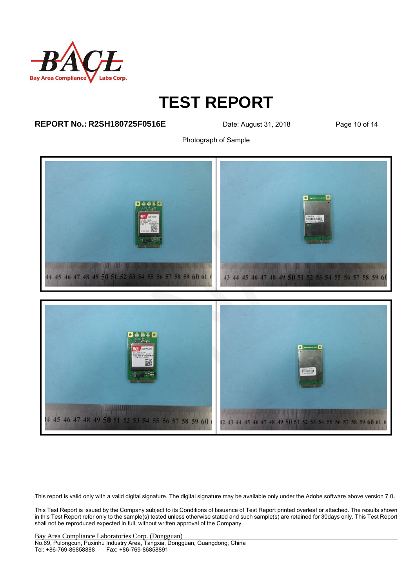

### **REPORT No.: R2SH180725F0516E** Date: August 31, 2018 Page 10 of 14

Photograph of Sample



This report is valid only with a valid digital signature. The digital signature may be available only under the Adobe software above version 7.0.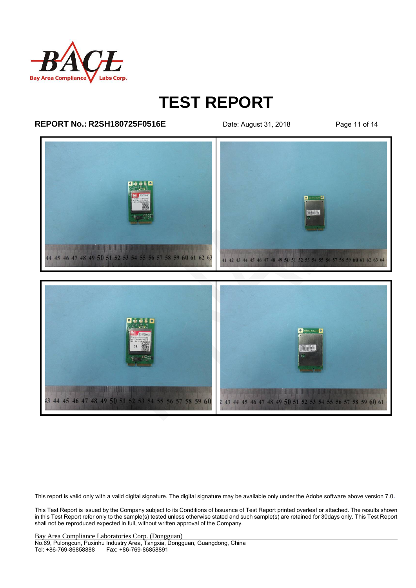

### **REPORT No.: R2SH180725F0516E** Date: August 31, 2018 Page 11 of 14



This report is valid only with a valid digital signature. The digital signature may be available only under the Adobe software above version 7.0.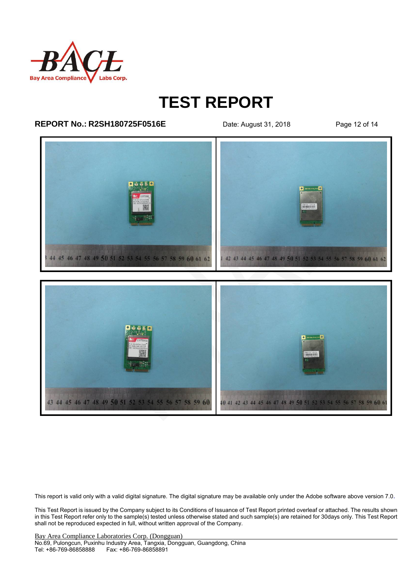

### **REPORT No.: R2SH180725F0516E** Date: August 31, 2018 Page 12 of 14



This report is valid only with a valid digital signature. The digital signature may be available only under the Adobe software above version 7.0.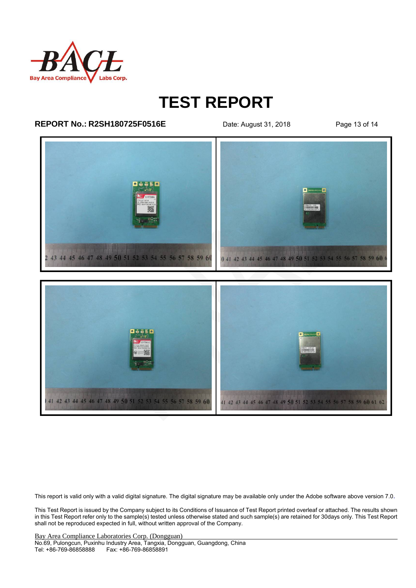

### **REPORT No.: R2SH180725F0516E** Date: August 31, 2018 Page 13 of 14



This report is valid only with a valid digital signature. The digital signature may be available only under the Adobe software above version 7.0.